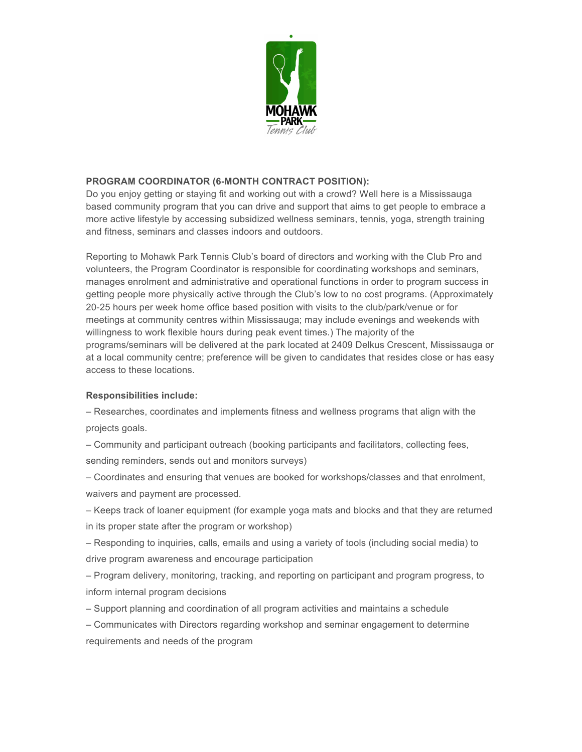

### **PROGRAM COORDINATOR (6-MONTH CONTRACT POSITION):**

Do you enjoy getting or staying fit and working out with a crowd? Well here is a Mississauga based community program that you can drive and support that aims to get people to embrace a more active lifestyle by accessing subsidized wellness seminars, tennis, yoga, strength training and fitness, seminars and classes indoors and outdoors.

Reporting to Mohawk Park Tennis Club's board of directors and working with the Club Pro and volunteers, the Program Coordinator is responsible for coordinating workshops and seminars, manages enrolment and administrative and operational functions in order to program success in getting people more physically active through the Club's low to no cost programs. (Approximately 20-25 hours per week home office based position with visits to the club/park/venue or for meetings at community centres within Mississauga; may include evenings and weekends with willingness to work flexible hours during peak event times.) The majority of the programs/seminars will be delivered at the park located at 2409 Delkus Crescent, Mississauga or at a local community centre; preference will be given to candidates that resides close or has easy access to these locations.

# **Responsibilities include:**

– Researches, coordinates and implements fitness and wellness programs that align with the projects goals.

– Community and participant outreach (booking participants and facilitators, collecting fees, sending reminders, sends out and monitors surveys)

– Coordinates and ensuring that venues are booked for workshops/classes and that enrolment, waivers and payment are processed.

– Keeps track of loaner equipment (for example yoga mats and blocks and that they are returned in its proper state after the program or workshop)

– Responding to inquiries, calls, emails and using a variety of tools (including social media) to drive program awareness and encourage participation

– Program delivery, monitoring, tracking, and reporting on participant and program progress, to inform internal program decisions

– Support planning and coordination of all program activities and maintains a schedule

– Communicates with Directors regarding workshop and seminar engagement to determine requirements and needs of the program